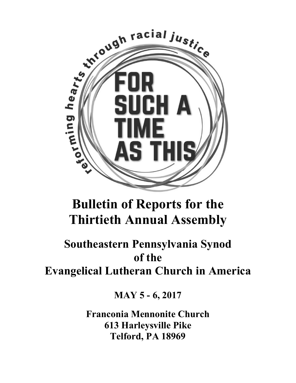

# **Bulletin of Reports for the Thirtieth Annual Assembly**

# **Southeastern Pennsylvania Synod of the Evangelical Lutheran Church in America**

**MAY 5 - 6, 2017** 

**Franconia Mennonite Church 613 Harleysville Pike Telford, PA 18969**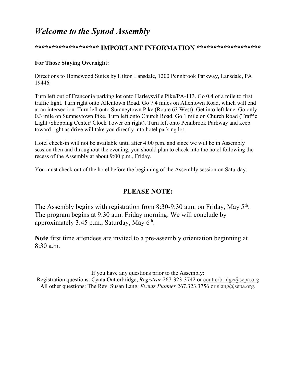# *Welcome to the Synod Assembly*

## **\*\*\*\*\*\*\*\*\*\*\*\*\*\*\*\*\*\*\* IMPORTANT INFORMATION \*\*\*\*\*\*\*\*\*\*\*\*\*\*\*\*\*\*\***

### **For Those Staying Overnight:**

Directions to Homewood Suites by Hilton Lansdale, 1200 Pennbrook Parkway, Lansdale, PA 19446.

Turn left out of Franconia parking lot onto Harleysville Pike/PA-113. Go 0.4 of a mile to first traffic light. Turn right onto Allentown Road. Go 7.4 miles on Allentown Road, which will end at an intersection. Turn left onto Sumneytown Pike (Route 63 West). Get into left lane. Go only 0.3 mile on Sumneytown Pike. Turn left onto Church Road. Go 1 mile on Church Road (Traffic Light /Shopping Center/ Clock Tower on right). Turn left onto Pennbrook Parkway and keep toward right as drive will take you directly into hotel parking lot.

Hotel check-in will not be available until after 4:00 p.m. and since we will be in Assembly session then and throughout the evening, you should plan to check into the hotel following the recess of the Assembly at about 9:00 p.m., Friday.

You must check out of the hotel before the beginning of the Assembly session on Saturday.

## **PLEASE NOTE:**

The Assembly begins with registration from 8:30-9:30 a.m. on Friday, May  $5<sup>th</sup>$ . The program begins at 9:30 a.m. Friday morning. We will conclude by approximately  $3:45$  p.m., Saturday, May  $6<sup>th</sup>$ .

**Note** first time attendees are invited to a pre-assembly orientation beginning at 8:30 a.m.

If you have any questions prior to the Assembly: Registration questions: Cynta Outterbridge, *Registrar* 267-323-3742 or coutterbridge@sepa.org All other questions: The Rev. Susan Lang, *Events Planner* 267.323.3756 or slang@sepa.org.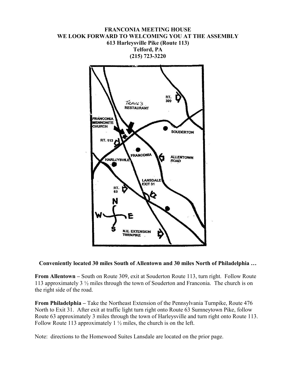



**Conveniently located 30 miles South of Allentown and 30 miles North of Philadelphia …**

**From Allentown –** South on Route 309, exit at Souderton Route 113, turn right. Follow Route 113 approximately 3 ½ miles through the town of Souderton and Franconia. The church is on the right side of the road.

**From Philadelphia –** Take the Northeast Extension of the Pennsylvania Turnpike, Route 476 North to Exit 31. After exit at traffic light turn right onto Route 63 Sumneytown Pike, follow Route 63 approximately 3 miles through the town of Harleysville and turn right onto Route 113. Follow Route 113 approximately 1  $\frac{1}{2}$  miles, the church is on the left.

Note: directions to the Homewood Suites Lansdale are located on the prior page.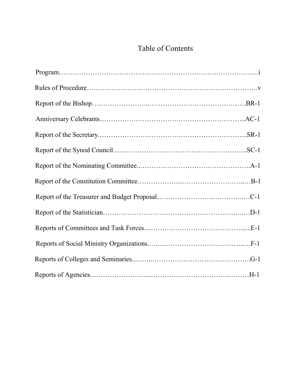# Table of Contents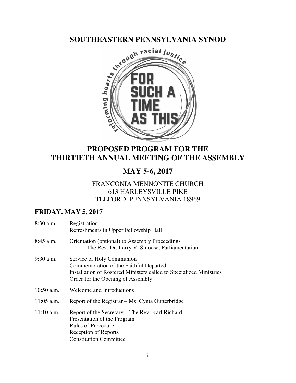

# **PROPOSED PROGRAM FOR THE THIRTIETH ANNUAL MEETING OF THE ASSEMBLY**

# **MAY 5-6, 2017**

## FRANCONIA MENNONITE CHURCH 613 HARLEYSVILLE PIKE TELFORD, PENNSYLVANIA 18969

## **FRIDAY, MAY 5, 2017**

| 8:30 a.m.    | Registration<br>Refreshments in Upper Fellowship Hall                                                                                                                           |
|--------------|---------------------------------------------------------------------------------------------------------------------------------------------------------------------------------|
| $8:45$ a.m.  | <b>Orientation</b> (optional) to Assembly Proceedings<br>The Rev. Dr. Larry V. Smoose, Parliamentarian                                                                          |
| $9:30$ a.m.  | Service of Holy Communion<br>Commemoration of the Faithful Departed<br>Installation of Rostered Ministers called to Specialized Ministries<br>Order for the Opening of Assembly |
| $10:50$ a.m. | Welcome and Introductions                                                                                                                                                       |
| $11:05$ a.m. | Report of the Registrar – Ms. Cynta Outterbridge                                                                                                                                |
| $11:10$ a.m. | Report of the Secretary – The Rev. Karl Richard<br>Presentation of the Program<br><b>Rules of Procedure</b><br><b>Reception of Reports</b><br><b>Constitution Committee</b>     |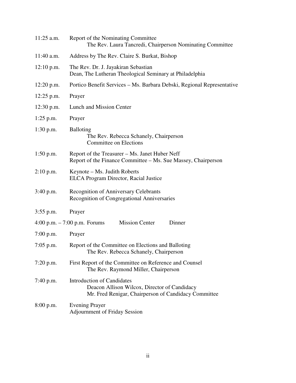| $11:25$ a.m. | Report of the Nominating Committee<br>The Rev. Laura Tancredi, Chairperson Nominating Committee                                           |
|--------------|-------------------------------------------------------------------------------------------------------------------------------------------|
| $11:40$ a.m. | Address by The Rev. Claire S. Burkat, Bishop                                                                                              |
| $12:10$ p.m. | The Rev. Dr. J. Jayakiran Sebastian<br>Dean, The Lutheran Theological Seminary at Philadelphia                                            |
| $12:20$ p.m. | Portico Benefit Services – Ms. Barbara Debski, Regional Representative                                                                    |
| $12:25$ p.m. | Prayer                                                                                                                                    |
| $12:30$ p.m. | Lunch and Mission Center                                                                                                                  |
| $1:25$ p.m.  | Prayer                                                                                                                                    |
| $1:30$ p.m.  | <b>Balloting</b><br>The Rev. Rebecca Schanely, Chairperson<br>Committee on Elections                                                      |
| $1:50$ p.m.  | Report of the Treasurer – Ms. Janet Huber Neff<br>Report of the Finance Committee – Ms. Sue Massey, Chairperson                           |
| $2:10$ p.m.  | Keynote – Ms. Judith Roberts<br><b>ELCA</b> Program Director, Racial Justice                                                              |
| 3:40 p.m.    | <b>Recognition of Anniversary Celebrants</b><br>Recognition of Congregational Anniversaries                                               |
| $3:55$ p.m.  | Prayer                                                                                                                                    |
|              | <b>Mission Center</b><br>Dinner<br>4:00 p.m. $- 7:00$ p.m. Forums                                                                         |
| $7:00$ p.m.  | Prayer                                                                                                                                    |
| $7:05$ p.m.  | Report of the Committee on Elections and Balloting<br>The Rev. Rebecca Schanely, Chairperson                                              |
| $7:20$ p.m.  | First Report of the Committee on Reference and Counsel<br>The Rev. Raymond Miller, Chairperson                                            |
| 7:40 p.m.    | <b>Introduction of Candidates</b><br>Deacon Allison Wilcox, Director of Candidacy<br>Mr. Fred Renigar, Chairperson of Candidacy Committee |
| 8:00 p.m.    | <b>Evening Prayer</b><br><b>Adjournment of Friday Session</b>                                                                             |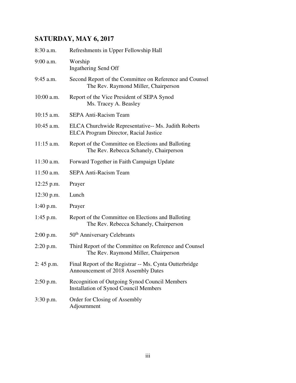# **SATURDAY, MAY 6, 2017**

| 8:30 a.m.    | Refreshments in Upper Fellowship Hall                                                               |
|--------------|-----------------------------------------------------------------------------------------------------|
| 9:00 a.m.    | Worship<br><b>Ingathering Send Off</b>                                                              |
| 9:45 a.m.    | Second Report of the Committee on Reference and Counsel<br>The Rev. Raymond Miller, Chairperson     |
| $10:00$ a.m. | Report of the Vice President of SEPA Synod<br>Ms. Tracey A. Beasley                                 |
| $10:15$ a.m. | <b>SEPA Anti-Racism Team</b>                                                                        |
| $10:45$ a.m. | ELCA Churchwide Representative-- Ms. Judith Roberts<br><b>ELCA Program Director, Racial Justice</b> |
| $11:15$ a.m. | Report of the Committee on Elections and Balloting<br>The Rev. Rebecca Schanely, Chairperson        |
| 11:30 a.m.   | Forward Together in Faith Campaign Update                                                           |
| $11:50$ a.m. | <b>SEPA Anti-Racism Team</b>                                                                        |
| $12:25$ p.m. | Prayer                                                                                              |
| $12:30$ p.m. | Lunch                                                                                               |
| $1:40$ p.m.  | Prayer                                                                                              |
| $1:45$ p.m.  | Report of the Committee on Elections and Balloting<br>The Rev. Rebecca Schanely, Chairperson        |
| $2:00$ p.m.  | 50 <sup>th</sup> Anniversary Celebrants                                                             |
| $2:20$ p.m.  | Third Report of the Committee on Reference and Counsel<br>The Rev. Raymond Miller, Chairperson      |
| $2:45$ p.m.  | Final Report of the Registrar -- Ms. Cynta Outterbridge<br>Announcement of 2018 Assembly Dates      |
| $2:50$ p.m.  | Recognition of Outgoing Synod Council Members<br><b>Installation of Synod Council Members</b>       |
| $3:30$ p.m.  | Order for Closing of Assembly<br>Adjournment                                                        |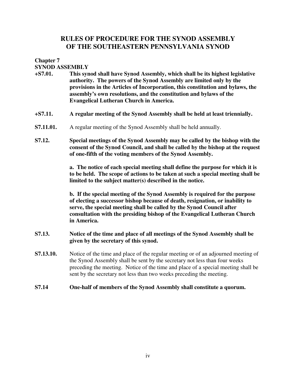## **RULES OF PROCEDURE FOR THE SYNOD ASSEMBLY OF THE SOUTHEASTERN PENNSYLVANIA SYNOD**

**Chapter 7** 

**SYNOD ASSEMBLY** 

- **+S7.01. This synod shall have Synod Assembly, which shall be its highest legislative authority. The powers of the Synod Assembly are limited only by the provisions in the Articles of Incorporation, this constitution and bylaws, the assembly's own resolutions, and the constitution and bylaws of the Evangelical Lutheran Church in America.**
- **+S7.11. A regular meeting of the Synod Assembly shall be held at least triennially.**
- **S7.11.01.** A regular meeting of the Synod Assembly shall be held annually.
- **S7.12. Special meetings of the Synod Assembly may be called by the bishop with the consent of the Synod Council, and shall be called by the bishop at the request of one-fifth of the voting members of the Synod Assembly.**

**a. The notice of each special meeting shall define the purpose for which it is to be held. The scope of actions to be taken at such a special meeting shall be limited to the subject matter(s) described in the notice.** 

**b. If the special meeting of the Synod Assembly is required for the purpose of electing a successor bishop because of death, resignation, or inability to serve, the special meeting shall be called by the Synod Council after consultation with the presiding bishop of the Evangelical Lutheran Church in America.** 

- **S7.13. Notice of the time and place of all meetings of the Synod Assembly shall be given by the secretary of this synod.**
- **S7.13.10.** Notice of the time and place of the regular meeting or of an adjourned meeting of the Synod Assembly shall be sent by the secretary not less than four weeks preceding the meeting. Notice of the time and place of a special meeting shall be sent by the secretary not less than two weeks preceding the meeting.
- **S7.14 One-half of members of the Synod Assembly shall constitute a quorum.**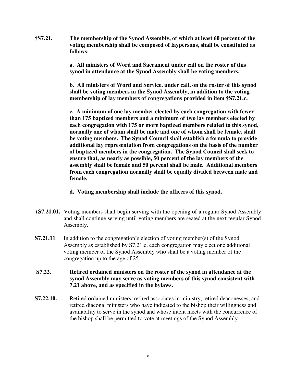**†S7.21. The membership of the Synod Assembly, of which at least 60 percent of the voting membership shall be composed of laypersons, shall be constituted as follows:** 

> **a. All ministers of Word and Sacrament under call on the roster of this synod in attendance at the Synod Assembly shall be voting members.**

**b. All ministers of Word and Service, under call, on the roster of this synod shall be voting members in the Synod Assembly, in addition to the voting membership of lay members of congregations provided in item †S7.21.c.** 

**c. A minimum of one lay member elected by each congregation with fewer than 175 baptized members and a minimum of two lay members elected by each congregation with 175 or more baptized members related to this synod, normally one of whom shall be male and one of whom shall be female, shall be voting members. The Synod Council shall establish a formula to provide additional lay representation from congregations on the basis of the number of baptized members in the congregation. The Synod Council shall seek to ensure that, as nearly as possible, 50 percent of the lay members of the assembly shall be female and 50 percent shall be male. Additional members from each congregation normally shall be equally divided between male and female.** 

- **d. Voting membership shall include the officers of this synod.**
- **+S7.21.01.** Voting members shall begin serving with the opening of a regular Synod Assembly and shall continue serving until voting members are seated at the next regular Synod Assembly.
- **S7.21.11** In addition to the congregation's election of voting member(s) of the Synod Assembly as established by S7.21.c, each congregation may elect one additional voting member of the Synod Assembly who shall be a voting member of the congregation up to the age of 25.
- **S7.22. Retired ordained ministers on the roster of the synod in attendance at the synod Assembly may serve as voting members of this synod consistent with 7.21 above, and as specified in the bylaws.**
- **S7.22.10.** Retired ordained ministers, retired associates in ministry, retired deaconesses, and retired diaconal ministers who have indicated to the bishop their willingness and availability to serve in the synod and whose intent meets with the concurrence of the bishop shall be permitted to vote at meetings of the Synod Assembly.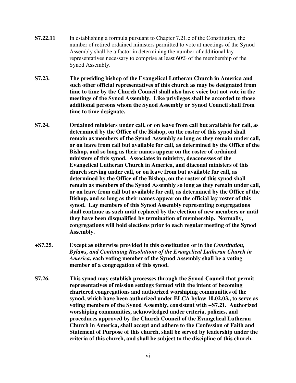- **S7.22.11** In establishing a formula pursuant to Chapter 7.21.c of the Constitution, the number of retired ordained ministers permitted to vote at meetings of the Synod Assembly shall be a factor in determining the number of additional lay representatives necessary to comprise at least 60% of the membership of the Synod Assembly.
- **S7.23. The presiding bishop of the Evangelical Lutheran Church in America and such other official representatives of this church as may be designated from time to time by the Church Council shall also have voice but not vote in the meetings of the Synod Assembly. Like privileges shall be accorded to those additional persons whom the Synod Assembly or Synod Council shall from time to time designate.**
- **S7.24. Ordained ministers under call, or on leave from call but available for call, as determined by the Office of the Bishop, on the roster of this synod shall remain as members of the Synod Assembly so long as they remain under call, or on leave from call but available for call, as determined by the Office of the Bishop, and so long as their names appear on the roster of ordained ministers of this synod. Associates in ministry, deaconesses of the Evangelical Lutheran Church in America, and diaconal ministers of this church serving under call, or on leave from but available for call, as determined by the Office of the Bishop, on the roster of this synod shall remain as members of the Synod Assembly so long as they remain under call, or on leave from call but available for call, as determined by the Office of the Bishop, and so long as their names appear on the official lay roster of this synod. Lay members of this Synod Assembly representing congregations shall continue as such until replaced by the election of new members or until they have been disqualified by termination of membership. Normally, congregations will hold elections prior to each regular meeting of the Synod Assembly.**
- **+S7.25. Except as otherwise provided in this constitution or in the** *Constitution, Bylaws, and Continuing Resolutions of the Evangelical Lutheran Church in America***, each voting member of the Synod Assembly shall be a voting member of a congregation of this synod.**
- **S7.26. This synod may establish processes through the Synod Council that permit representatives of mission settings formed with the intent of becoming chartered congregations and authorized worshiping communities of the synod, which have been authorized under ELCA bylaw 10.02.03., to serve as voting members of the Synod Assembly, consistent with +S7.21. Authorized worshiping communities, acknowledged under criteria, policies, and procedures approved by the Church Council of the Evangelical Lutheran Church in America, shall accept and adhere to the Confession of Faith and Statement of Purpose of this church, shall be served by leadership under the criteria of this church, and shall be subject to the discipline of this church.**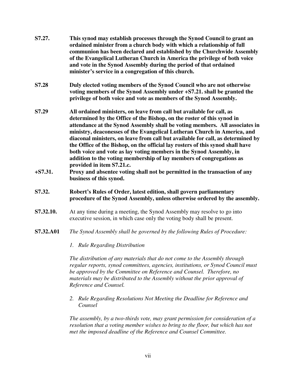| S7.27.              | This synod may establish processes through the Synod Council to grant an<br>ordained minister from a church body with which a relationship of full<br>communion has been declared and established by the Churchwide Assembly<br>of the Evangelical Lutheran Church in America the privilege of both voice<br>and vote in the Synod Assembly during the period of that ordained<br>minister's service in a congregation of this church.                                                                                                                                                                                                                                                                                                                               |
|---------------------|----------------------------------------------------------------------------------------------------------------------------------------------------------------------------------------------------------------------------------------------------------------------------------------------------------------------------------------------------------------------------------------------------------------------------------------------------------------------------------------------------------------------------------------------------------------------------------------------------------------------------------------------------------------------------------------------------------------------------------------------------------------------|
| S7.28               | Duly elected voting members of the Synod Council who are not otherwise<br>voting members of the Synod Assembly under +S7.21. shall be granted the<br>privilege of both voice and vote as members of the Synod Assembly.                                                                                                                                                                                                                                                                                                                                                                                                                                                                                                                                              |
| S7.29<br>$+ S7.31.$ | All ordained ministers, on leave from call but available for call, as<br>determined by the Office of the Bishop, on the roster of this synod in<br>attendance at the Synod Assembly shall be voting members. All associates in<br>ministry, deaconesses of the Evangelical Lutheran Church in America, and<br>diaconal ministers, on leave from call but available for call, as determined by<br>the Office of the Bishop, on the official lay rosters of this synod shall have<br>both voice and vote as lay voting members in the Synod Assembly, in<br>addition to the voting membership of lay members of congregations as<br>provided in item S7.21.c.<br>Proxy and absentee voting shall not be permitted in the transaction of any<br>business of this synod. |
| S7.32.              | Robert's Rules of Order, latest edition, shall govern parliamentary<br>procedure of the Synod Assembly, unless otherwise ordered by the assembly.                                                                                                                                                                                                                                                                                                                                                                                                                                                                                                                                                                                                                    |
| S7.32.10.           | At any time during a meeting, the Synod Assembly may resolve to go into<br>executive session, in which case only the voting body shall be present.                                                                                                                                                                                                                                                                                                                                                                                                                                                                                                                                                                                                                   |
| S7.32.A01           | The Synod Assembly shall be governed by the following Rules of Procedure:                                                                                                                                                                                                                                                                                                                                                                                                                                                                                                                                                                                                                                                                                            |
|                     | 1. Rule Regarding Distribution                                                                                                                                                                                                                                                                                                                                                                                                                                                                                                                                                                                                                                                                                                                                       |
|                     | The distribution of any materials that do not come to the Assembly through                                                                                                                                                                                                                                                                                                                                                                                                                                                                                                                                                                                                                                                                                           |

*The distribution of any materials that do not come to the Assembly through regular reports, synod committees, agencies, institutions, or Synod Council must be approved by the Committee on Reference and Counsel. Therefore, no materials may be distributed to the Assembly without the prior approval of Reference and Counsel.* 

*2. Rule Regarding Resolutions Not Meeting the Deadline for Reference and Counsel* 

*The assembly, by a two-thirds vote, may grant permission for consideration of a resolution that a voting member wishes to bring to the floor, but which has not met the imposed deadline of the Reference and Counsel Committee.*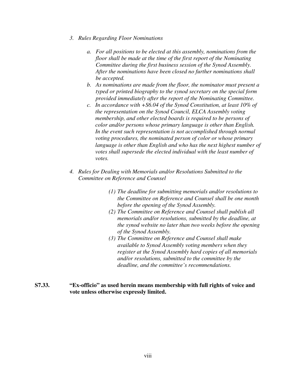- *3. Rules Regarding Floor Nominations* 
	- *a. For all positions to be elected at this assembly, nominations from the floor shall be made at the time of the first report of the Nominating Committee during the first business session of the Synod Assembly. After the nominations have been closed no further nominations shall be accepted.*
	- *b. As nominations are made from the floor, the nominator must present a typed or printed biography to the synod secretary on the special form provided immediately after the report of the Nominating Committee.*
	- *c. In accordance with +S6.04 of the Synod Constitution, at least 10% of the representation on the Synod Council, ELCA Assembly voting membership, and other elected boards is required to be persons of color and/or persons whose primary language is other than English. In the event such representation is not accomplished through normal voting procedures, the nominated person of color or whose primary language is other than English and who has the next highest number of votes shall supersede the elected individual with the least number of votes.*
- *4. Rules for Dealing with Memorials and/or Resolutions Submitted to the Committee on Reference and Counsel* 
	- *(1) The deadline for submitting memorials and/or resolutions to the Committee on Reference and Counsel shall be one month before the opening of the Synod Assembly.*
	- *(2) The Committee on Reference and Counsel shall publish all memorials and/or resolutions, submitted by the deadline, at the synod website no later than two weeks before the opening of the Synod Assembly.*
	- *(3) The Committee on Reference and Counsel shall make available to Synod Assembly voting members when they register at the Synod Assembly hard copies of all memorials and/or resolutions, submitted to the committee by the deadline, and the committee's recommendations.*

#### **S7.33. "Ex-officio" as used herein means membership with full rights of voice and vote unless otherwise expressly limited.**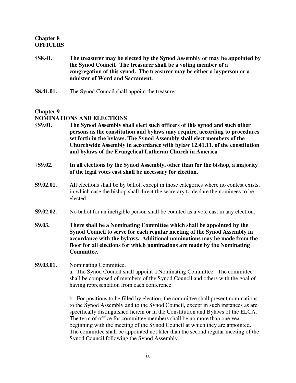#### **Chapter 8 OFFICERS**

- **†S8.41. The treasurer may be elected by the Synod Assembly or may be appointed by the Synod Council. The treasurer shall be a voting member of a congregation of this synod. The treasurer may be either a layperson or a minister of Word and Sacrament.**
- **S8.41.01.** The Synod Council shall appoint the treasurer.

### **Chapter 9**

#### **NOMINATIONS AND ELECTIONS**

- **†S9.01. The Synod Assembly shall elect such officers of this synod and such other persons as the constitution and bylaws may require, according to procedures set forth in the bylaws. The Synod Assembly shall elect members of the Churchwide Assembly in accordance with bylaw 12.41.11. of the constitution and bylaws of the Evangelical Lutheran Church in America**
- **†S9.02. In all elections by the Synod Assembly, other than for the bishop, a majority of the legal votes cast shall be necessary for election.**
- **S9.02.01.** All elections shall be by ballot, except in those categories where no contest exists, in which case the bishop shall direct the secretary to declare the nominees to be elected.
- **S9.02.02.** No ballot for an ineligible person shall be counted as a vote cast in any election.
- **S9.03. There shall be a Nominating Committee which shall be appointed by the Synod Council to serve for each regular meeting of the Synod Assembly in accordance with the bylaws. Additional nominations may be made from the floor for all elections for which nominations are made by the Nominating Committee.**

#### **S9.03.01.** Nominating Committee.

a. The Synod Council shall appoint a Nominating Committee. The committee shall be composed of members of the Synod Council and others with the goal of having representation from each conference.

b. For positions to be filled by election, the committee shall present nominations to the Synod Assembly and to the Synod Council, except in such instances as are specifically distinguished herein or in the Constitution and Bylaws of the ELCA. The term of office for committee members shall be no more than one year, beginning with the meeting of the Synod Council at which they are appointed. The committee shall be appointed not later than the second regular meeting of the Synod Council following the Synod Assembly.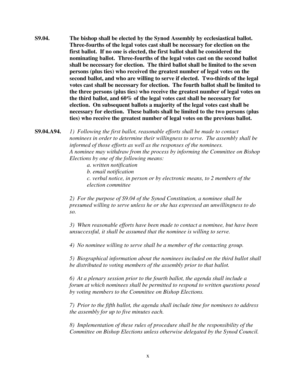**S9.04. The bishop shall be elected by the Synod Assembly by ecclesiastical ballot. Three-fourths of the legal votes cast shall be necessary for election on the first ballot. If no one is elected, the first ballot shall be considered the nominating ballot. Three-fourths of the legal votes cast on the second ballot shall be necessary for election. The third ballot shall be limited to the seven persons (plus ties) who received the greatest number of legal votes on the second ballot, and who are willing to serve if elected. Two-thirds of the legal votes cast shall be necessary for election. The fourth ballot shall be limited to the three persons (plus ties) who receive the greatest number of legal votes on the third ballot, and 60% of the legal votes cast shall be necessary for election. On subsequent ballots a majority of the legal votes cast shall be necessary for election. These ballots shall be limited to the two persons (plus ties) who receive the greatest number of legal votes on the previous ballot.** 

**S9.04.A94.** *1) Following the first ballot, reasonable efforts shall be made to contact nominees in order to determine their willingness to serve. The assembly shall be informed of those efforts as well as the responses of the nominees. A nominee may withdraw from the process by informing the Committee on Bishop Elections by one of the following means:* 

 *a. written notification* 

 *b. email notification* 

 *c. verbal notice, in person or by electronic means, to 2 members of the election committee* 

*2) For the purpose of S9.04 of the Synod Constitution, a nominee shall be presumed willing to serve unless he or she has expressed an unwillingness to do so.* 

*3) When reasonable efforts have been made to contact a nominee, but have been unsuccessful, it shall be assumed that the nominee is willing to serve.* 

*4) No nominee willing to serve shall be a member of the contacting group.* 

*5) Biographical information about the nominees included on the third ballot shall be distributed to voting members of the assembly prior to that ballot.* 

*6) At a plenary session prior to the fourth ballot, the agenda shall include a forum at which nominees shall be permitted to respond to written questions posed by voting members to the Committee on Bishop Elections.* 

*7) Prior to the fifth ballot, the agenda shall include time for nominees to address the assembly for up to five minutes each.* 

*8) Implementation of these rules of procedure shall be the responsibility of the Committee on Bishop Elections unless otherwise delegated by the Synod Council.*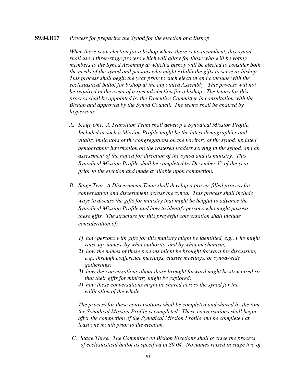#### **S9.04.B17** *Process for preparing the Synod for the election of a Bishop*

*When there is an election for a bishop where there is no incumbent, this synod shall use a three-stage process which will allow for those who will be voting members to the Synod Assembly at which a bishop will be elected to consider both the needs of the synod and persons who might exhibit the gifts to serve as bishop. This process shall begin the year prior to such election and conclude with the ecclesiastical ballot for bishop at the appointed Assembly. This process will not be required in the event of a special election for a bishop. The teams for this process shall be appointed by the Executive Committee in consultation with the Bishop and approved by the Synod Council. The teams shall be chaired by laypersons.* 

- *A. Stage One. A Transition Team shall develop a Synodical Mission Profile. Included in such a Mission Profile might be the latest demographics and vitality indicators of the congregations on the territory of the synod, updated demographic information on the rostered leaders serving in the synod, and an assessment of the hoped for direction of the synod and its ministry. This Synodical Mission Profile shall be completed by December 1st of the year prior to the election and made available upon completion.*
- *B. Stage Two. A Discernment Team shall develop a prayer-filled process for conversation and discernment across the synod. This process shall include ways to discuss the gifts for ministry that might be helpful to advance the Synodical Mission Profile and how to identify persons who might possess these gifts. The structure for this prayerful conversation shall include consideration of:* 
	- *1) how persons with gifts for this ministry might be identified, e.g., who might raise up names, by what authority, and by what mechanism;*
	- *2) how the names of those persons might be brought forward for discussion, e.g., through conference meetings, cluster meetings, or synod-wide gatherings;*
	- *3) how the conversations about those brought forward might be structured so that their gifts for ministry might be explored;*
	- *4) how these conversations might be shared across the synod for the edification of the whole.*

*The process for these conversations shall be completed and shared by the time the Synodical Mission Profile is completed. These conversations shall begin after the completion of the Synodical Mission Profile and be completed at least one month prior to the election.* 

*C. Stage Three. The Committee on Bishop Elections shall oversee the process of ecclesiastical ballot as specified in S9.04. No names raised in stage two of*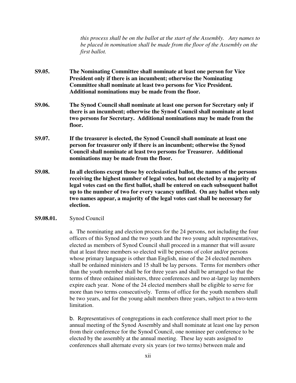*this process shall be on the ballot at the start of the Assembly. Any names to be placed in nomination shall be made from the floor of the Assembly on the first ballot.* 

- **S9.05. The Nominating Committee shall nominate at least one person for Vice President only if there is an incumbent; otherwise the Nominating Committee shall nominate at least two persons for Vice President. Additional nominations may be made from the floor.**
- **S9.06. The Synod Council shall nominate at least one person for Secretary only if there is an incumbent; otherwise the Synod Council shall nominate at least two persons for Secretary. Additional nominations may be made from the floor.**
- **S9.07. If the treasurer is elected, the Synod Council shall nominate at least one person for treasurer only if there is an incumbent; otherwise the Synod Council shall nominate at least two persons for Treasurer. Additional nominations may be made from the floor.**
- **S9.08. In all elections except those by ecclesiastical ballot, the names of the persons receiving the highest number of legal votes, but not elected by a majority of legal votes cast on the first ballot, shall be entered on each subsequent ballot up to the number of two for every vacancy unfilled. On any ballot when only two names appear, a majority of the legal votes cast shall be necessary for election.**
- **S9.08.01.** Synod Council

a. The nominating and election process for the 24 persons, not including the four officers of this Synod and the two youth and the two young adult representatives, elected as members of Synod Council shall proceed in a manner that will assure that at least three members so elected will be persons of color and/or persons whose primary language is other than English, nine of the 24 elected members shall be ordained ministers and 15 shall be lay persons. Terms for members other than the youth member shall be for three years and shall be arranged so that the terms of three ordained ministers, three conferences and two at-large lay members expire each year. None of the 24 elected members shall be eligible to serve for more than two terms consecutively. Terms of office for the youth members shall be two years, and for the young adult members three years, subject to a two-term limitation.

b. Representatives of congregations in each conference shall meet prior to the annual meeting of the Synod Assembly and shall nominate at least one lay person from their conference for the Synod Council, one nominee per conference to be elected by the assembly at the annual meeting. These lay seats assigned to conferences shall alternate every six years (or two terms) between male and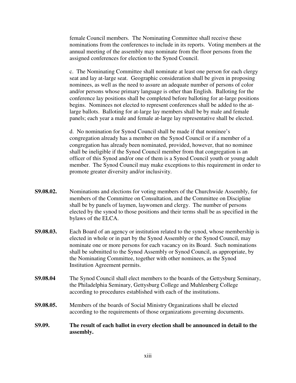female Council members. The Nominating Committee shall receive these nominations from the conferences to include in its reports. Voting members at the annual meeting of the assembly may nominate from the floor persons from the assigned conferences for election to the Synod Council.

 c. The Nominating Committee shall nominate at least one person for each clergy seat and lay at-large seat. Geographic consideration shall be given in proposing nominees, as well as the need to assure an adequate number of persons of color and/or persons whose primary language is other than English. Balloting for the conference lay positions shall be completed before balloting for at-large positions begins. Nominees not elected to represent conferences shall be added to the atlarge ballots. Balloting for at-large lay members shall be by male and female panels; each year a male and female at-large lay representative shall be elected.

 d. No nomination for Synod Council shall be made if that nominee's congregation already has a member on the Synod Council or if a member of a congregation has already been nominated, provided, however, that no nominee shall be ineligible if the Synod Council member from that congregation is an officer of this Synod and/or one of them is a Synod Council youth or young adult member. The Synod Council may make exceptions to this requirement in order to promote greater diversity and/or inclusivity.

- **S9.08.02.** Nominations and elections for voting members of the Churchwide Assembly, for members of the Committee on Consultation, and the Committee on Discipline shall be by panels of laymen, laywomen and clergy. The number of persons elected by the synod to those positions and their terms shall be as specified in the bylaws of the ELCA.
- **S9.08.03.** Each Board of an agency or institution related to the synod, whose membership is elected in whole or in part by the Synod Assembly or the Synod Council, may nominate one or more persons for each vacancy on its Board. Such nominations shall be submitted to the Synod Assembly or Synod Council, as appropriate, by the Nominating Committee, together with other nominees, as the Synod Institution Agreement permits.
- **S9.08.04** The Synod Council shall elect members to the boards of the Gettysburg Seminary, the Philadelphia Seminary, Gettysburg College and Muhlenberg College according to procedures established with each of the institutions.
- **S9.08.05.** Members of the boards of Social Ministry Organizations shall be elected according to the requirements of those organizations governing documents.
- **S9.09. The result of each ballot in every election shall be announced in detail to the assembly.**